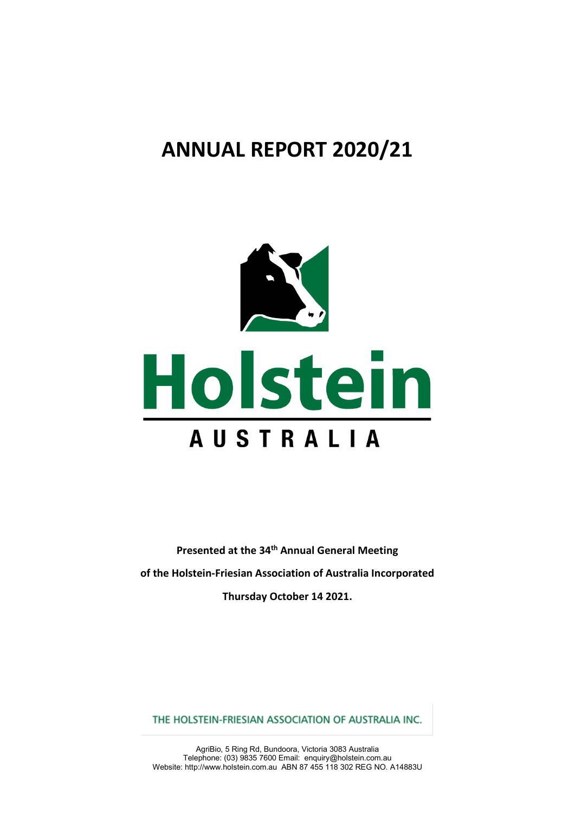# **ANNUAL REPORT 2020/21**



**Presented at the 34th Annual General Meeting of the Holstein-Friesian Association of Australia Incorporated Thursday October 14 2021.**

THE HOLSTEIN-FRIESIAN ASSOCIATION OF AUSTRALIA INC.

AgriBio, 5 Ring Rd, Bundoora, Victoria 3083 Australia Telephone: (03) 9835 7600 Email: enquiry@holstein.com.au Website[: http://www.holstein.com.au](http://www.holstein.com.au/) ABN 87 455 118 302 REG NO. A14883U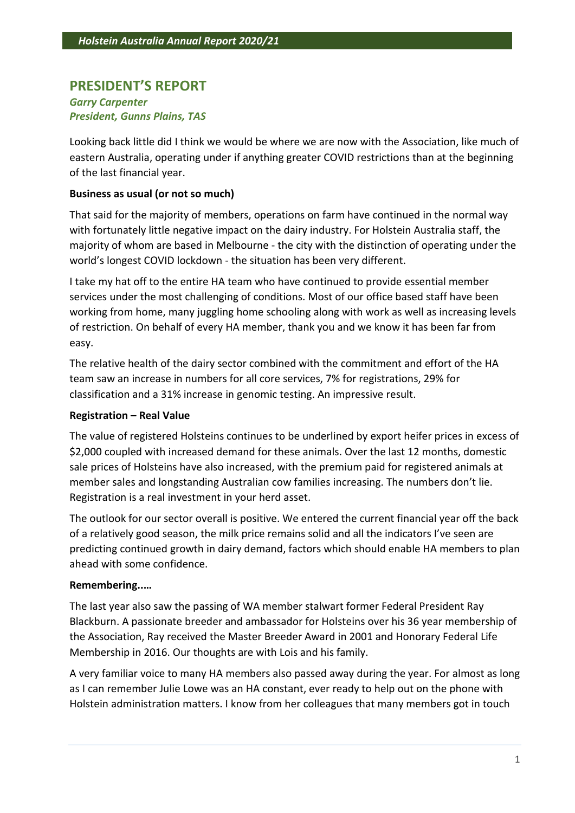# **PRESIDENT'S REPORT**

# *Garry Carpenter President, Gunns Plains, TAS*

Looking back little did I think we would be where we are now with the Association, like much of eastern Australia, operating under if anything greater COVID restrictions than at the beginning of the last financial year.

# **Business as usual (or not so much)**

That said for the majority of members, operations on farm have continued in the normal way with fortunately little negative impact on the dairy industry. For Holstein Australia staff, the majority of whom are based in Melbourne - the city with the distinction of operating under the world's longest COVID lockdown - the situation has been very different.

I take my hat off to the entire HA team who have continued to provide essential member services under the most challenging of conditions. Most of our office based staff have been working from home, many juggling home schooling along with work as well as increasing levels of restriction. On behalf of every HA member, thank you and we know it has been far from easy.

The relative health of the dairy sector combined with the commitment and effort of the HA team saw an increase in numbers for all core services, 7% for registrations, 29% for classification and a 31% increase in genomic testing. An impressive result.

# **Registration – Real Value**

The value of registered Holsteins continues to be underlined by export heifer prices in excess of \$2,000 coupled with increased demand for these animals. Over the last 12 months, domestic sale prices of Holsteins have also increased, with the premium paid for registered animals at member sales and longstanding Australian cow families increasing. The numbers don't lie. Registration is a real investment in your herd asset.

The outlook for our sector overall is positive. We entered the current financial year off the back of a relatively good season, the milk price remains solid and all the indicators I've seen are predicting continued growth in dairy demand, factors which should enable HA members to plan ahead with some confidence.

# **Remembering..…**

The last year also saw the passing of WA member stalwart former Federal President Ray Blackburn. A passionate breeder and ambassador for Holsteins over his 36 year membership of the Association, Ray received the Master Breeder Award in 2001 and Honorary Federal Life Membership in 2016. Our thoughts are with Lois and his family.

A very familiar voice to many HA members also passed away during the year. For almost as long as I can remember Julie Lowe was an HA constant, ever ready to help out on the phone with Holstein administration matters. I know from her colleagues that many members got in touch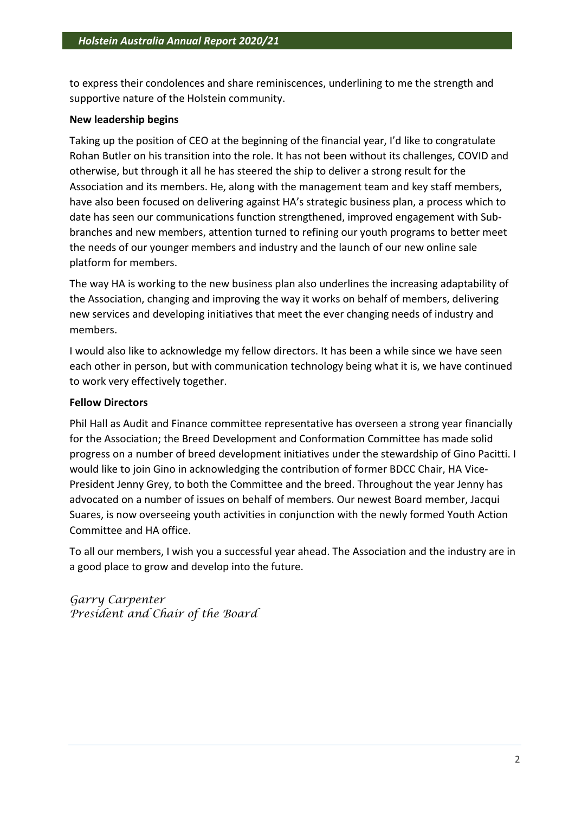to express their condolences and share reminiscences, underlining to me the strength and supportive nature of the Holstein community.

# **New leadership begins**

Taking up the position of CEO at the beginning of the financial year, I'd like to congratulate Rohan Butler on his transition into the role. It has not been without its challenges, COVID and otherwise, but through it all he has steered the ship to deliver a strong result for the Association and its members. He, along with the management team and key staff members, have also been focused on delivering against HA's strategic business plan, a process which to date has seen our communications function strengthened, improved engagement with Subbranches and new members, attention turned to refining our youth programs to better meet the needs of our younger members and industry and the launch of our new online sale platform for members.

The way HA is working to the new business plan also underlines the increasing adaptability of the Association, changing and improving the way it works on behalf of members, delivering new services and developing initiatives that meet the ever changing needs of industry and members.

I would also like to acknowledge my fellow directors. It has been a while since we have seen each other in person, but with communication technology being what it is, we have continued to work very effectively together.

# **Fellow Directors**

Phil Hall as Audit and Finance committee representative has overseen a strong year financially for the Association; the Breed Development and Conformation Committee has made solid progress on a number of breed development initiatives under the stewardship of Gino Pacitti. I would like to join Gino in acknowledging the contribution of former BDCC Chair, HA Vice-President Jenny Grey, to both the Committee and the breed. Throughout the year Jenny has advocated on a number of issues on behalf of members. Our newest Board member, Jacqui Suares, is now overseeing youth activities in conjunction with the newly formed Youth Action Committee and HA office.

To all our members, I wish you a successful year ahead. The Association and the industry are in a good place to grow and develop into the future.

*Garry Carpenter President and Chair of the Board*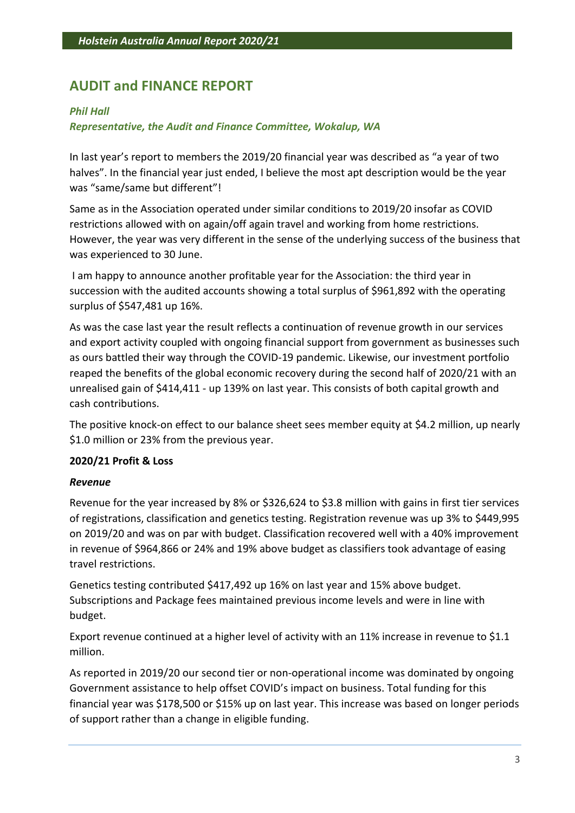# **AUDIT and FINANCE REPORT**

# *Phil Hall*

# *Representative, the Audit and Finance Committee, Wokalup, WA*

In last year's report to members the 2019/20 financial year was described as "a year of two halves". In the financial year just ended, I believe the most apt description would be the year was "same/same but different"!

Same as in the Association operated under similar conditions to 2019/20 insofar as COVID restrictions allowed with on again/off again travel and working from home restrictions. However, the year was very different in the sense of the underlying success of the business that was experienced to 30 June.

I am happy to announce another profitable year for the Association: the third year in succession with the audited accounts showing a total surplus of \$961,892 with the operating surplus of \$547,481 up 16%.

As was the case last year the result reflects a continuation of revenue growth in our services and export activity coupled with ongoing financial support from government as businesses such as ours battled their way through the COVID-19 pandemic. Likewise, our investment portfolio reaped the benefits of the global economic recovery during the second half of 2020/21 with an unrealised gain of \$414,411 - up 139% on last year. This consists of both capital growth and cash contributions.

The positive knock-on effect to our balance sheet sees member equity at \$4.2 million, up nearly \$1.0 million or 23% from the previous year.

# **2020/21 Profit & Loss**

# *Revenue*

Revenue for the year increased by 8% or \$326,624 to \$3.8 million with gains in first tier services of registrations, classification and genetics testing. Registration revenue was up 3% to \$449,995 on 2019/20 and was on par with budget. Classification recovered well with a 40% improvement in revenue of \$964,866 or 24% and 19% above budget as classifiers took advantage of easing travel restrictions.

Genetics testing contributed \$417,492 up 16% on last year and 15% above budget. Subscriptions and Package fees maintained previous income levels and were in line with budget.

Export revenue continued at a higher level of activity with an 11% increase in revenue to \$1.1 million.

As reported in 2019/20 our second tier or non-operational income was dominated by ongoing Government assistance to help offset COVID's impact on business. Total funding for this financial year was \$178,500 or \$15% up on last year. This increase was based on longer periods of support rather than a change in eligible funding.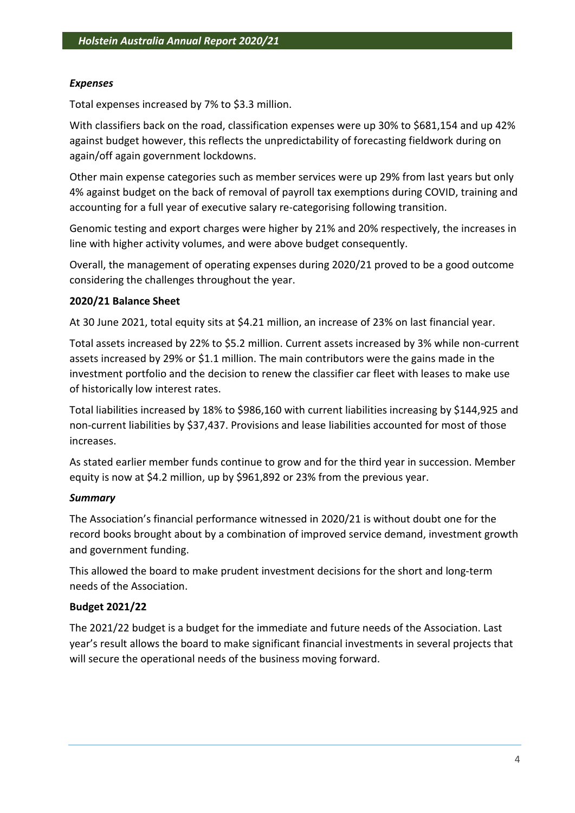# *Expenses*

Total expenses increased by 7% to \$3.3 million.

With classifiers back on the road, classification expenses were up 30% to \$681,154 and up 42% against budget however, this reflects the unpredictability of forecasting fieldwork during on again/off again government lockdowns.

Other main expense categories such as member services were up 29% from last years but only 4% against budget on the back of removal of payroll tax exemptions during COVID, training and accounting for a full year of executive salary re-categorising following transition.

Genomic testing and export charges were higher by 21% and 20% respectively, the increases in line with higher activity volumes, and were above budget consequently.

Overall, the management of operating expenses during 2020/21 proved to be a good outcome considering the challenges throughout the year.

# **2020/21 Balance Sheet**

At 30 June 2021, total equity sits at \$4.21 million, an increase of 23% on last financial year.

Total assets increased by 22% to \$5.2 million. Current assets increased by 3% while non-current assets increased by 29% or \$1.1 million. The main contributors were the gains made in the investment portfolio and the decision to renew the classifier car fleet with leases to make use of historically low interest rates.

Total liabilities increased by 18% to \$986,160 with current liabilities increasing by \$144,925 and non-current liabilities by \$37,437. Provisions and lease liabilities accounted for most of those increases.

As stated earlier member funds continue to grow and for the third year in succession. Member equity is now at \$4.2 million, up by \$961,892 or 23% from the previous year.

# *Summary*

The Association's financial performance witnessed in 2020/21 is without doubt one for the record books brought about by a combination of improved service demand, investment growth and government funding.

This allowed the board to make prudent investment decisions for the short and long-term needs of the Association.

# **Budget 2021/22**

The 2021/22 budget is a budget for the immediate and future needs of the Association. Last year's result allows the board to make significant financial investments in several projects that will secure the operational needs of the business moving forward.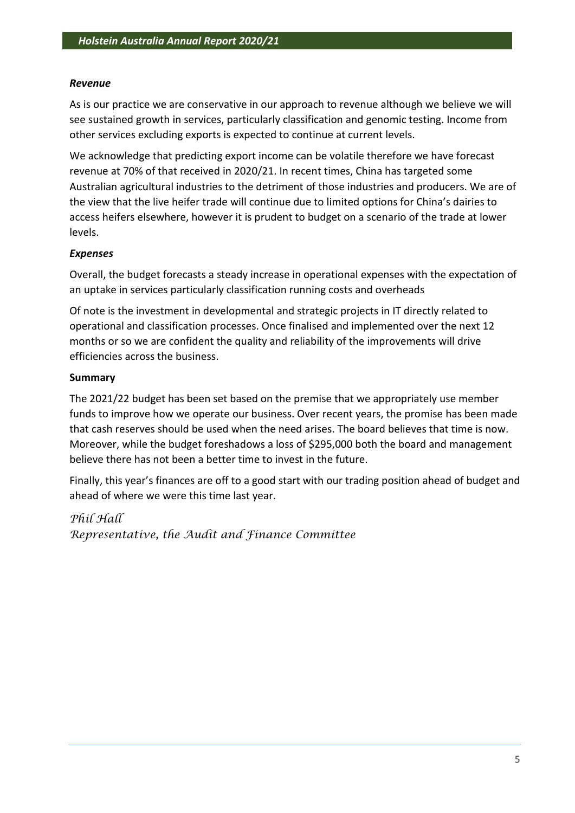# *Revenue*

As is our practice we are conservative in our approach to revenue although we believe we will see sustained growth in services, particularly classification and genomic testing. Income from other services excluding exports is expected to continue at current levels.

We acknowledge that predicting export income can be volatile therefore we have forecast revenue at 70% of that received in 2020/21. In recent times, China has targeted some Australian agricultural industries to the detriment of those industries and producers. We are of the view that the live heifer trade will continue due to limited options for China's dairies to access heifers elsewhere, however it is prudent to budget on a scenario of the trade at lower levels.

# *Expenses*

Overall, the budget forecasts a steady increase in operational expenses with the expectation of an uptake in services particularly classification running costs and overheads

Of note is the investment in developmental and strategic projects in IT directly related to operational and classification processes. Once finalised and implemented over the next 12 months or so we are confident the quality and reliability of the improvements will drive efficiencies across the business.

# **Summary**

The 2021/22 budget has been set based on the premise that we appropriately use member funds to improve how we operate our business. Over recent years, the promise has been made that cash reserves should be used when the need arises. The board believes that time is now. Moreover, while the budget foreshadows a loss of \$295,000 both the board and management believe there has not been a better time to invest in the future.

Finally, this year's finances are off to a good start with our trading position ahead of budget and ahead of where we were this time last year.

*Phil Hall Representative, the Audit and Finance Committee*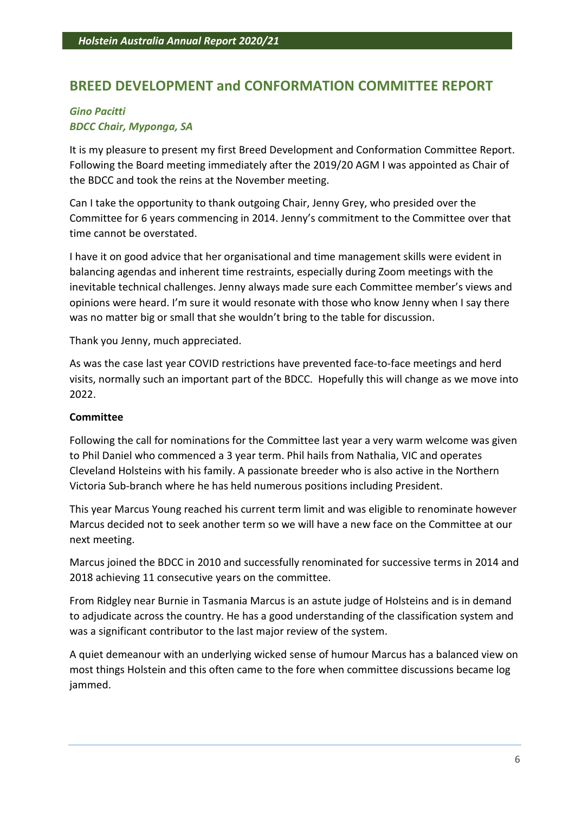# **BREED DEVELOPMENT and CONFORMATION COMMITTEE REPORT**

# *Gino Pacitti BDCC Chair, Myponga, SA*

It is my pleasure to present my first Breed Development and Conformation Committee Report. Following the Board meeting immediately after the 2019/20 AGM I was appointed as Chair of the BDCC and took the reins at the November meeting.

Can I take the opportunity to thank outgoing Chair, Jenny Grey, who presided over the Committee for 6 years commencing in 2014. Jenny's commitment to the Committee over that time cannot be overstated.

I have it on good advice that her organisational and time management skills were evident in balancing agendas and inherent time restraints, especially during Zoom meetings with the inevitable technical challenges. Jenny always made sure each Committee member's views and opinions were heard. I'm sure it would resonate with those who know Jenny when I say there was no matter big or small that she wouldn't bring to the table for discussion.

Thank you Jenny, much appreciated.

As was the case last year COVID restrictions have prevented face-to-face meetings and herd visits, normally such an important part of the BDCC. Hopefully this will change as we move into 2022.

# **Committee**

Following the call for nominations for the Committee last year a very warm welcome was given to Phil Daniel who commenced a 3 year term. Phil hails from Nathalia, VIC and operates Cleveland Holsteins with his family. A passionate breeder who is also active in the Northern Victoria Sub-branch where he has held numerous positions including President.

This year Marcus Young reached his current term limit and was eligible to renominate however Marcus decided not to seek another term so we will have a new face on the Committee at our next meeting.

Marcus joined the BDCC in 2010 and successfully renominated for successive terms in 2014 and 2018 achieving 11 consecutive years on the committee.

From Ridgley near Burnie in Tasmania Marcus is an astute judge of Holsteins and is in demand to adjudicate across the country. He has a good understanding of the classification system and was a significant contributor to the last major review of the system.

A quiet demeanour with an underlying wicked sense of humour Marcus has a balanced view on most things Holstein and this often came to the fore when committee discussions became log jammed.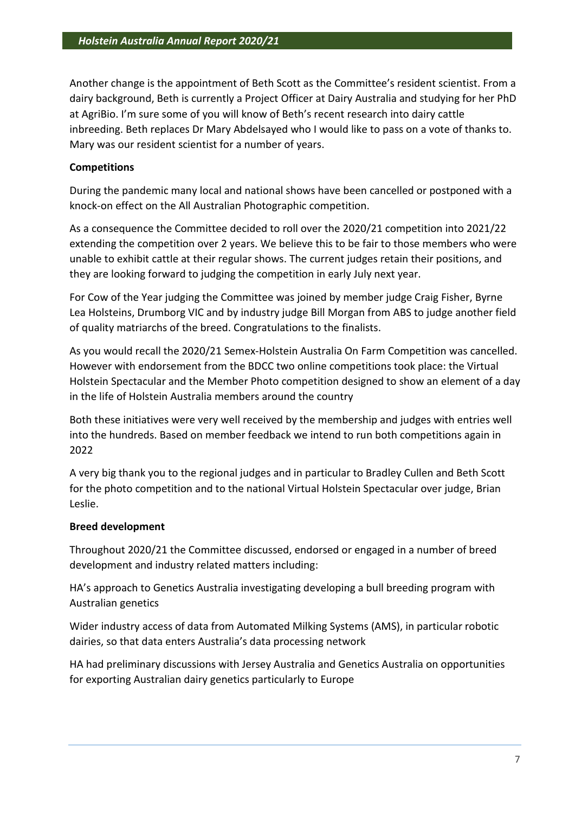Another change is the appointment of Beth Scott as the Committee's resident scientist. From a dairy background, Beth is currently a Project Officer at Dairy Australia and studying for her PhD at AgriBio. I'm sure some of you will know of Beth's recent research into dairy cattle inbreeding. Beth replaces Dr Mary Abdelsayed who I would like to pass on a vote of thanks to. Mary was our resident scientist for a number of years.

# **Competitions**

During the pandemic many local and national shows have been cancelled or postponed with a knock-on effect on the All Australian Photographic competition.

As a consequence the Committee decided to roll over the 2020/21 competition into 2021/22 extending the competition over 2 years. We believe this to be fair to those members who were unable to exhibit cattle at their regular shows. The current judges retain their positions, and they are looking forward to judging the competition in early July next year.

For Cow of the Year judging the Committee was joined by member judge Craig Fisher, Byrne Lea Holsteins, Drumborg VIC and by industry judge Bill Morgan from ABS to judge another field of quality matriarchs of the breed. Congratulations to the finalists.

As you would recall the 2020/21 Semex-Holstein Australia On Farm Competition was cancelled. However with endorsement from the BDCC two online competitions took place: the Virtual Holstein Spectacular and the Member Photo competition designed to show an element of a day in the life of Holstein Australia members around the country

Both these initiatives were very well received by the membership and judges with entries well into the hundreds. Based on member feedback we intend to run both competitions again in 2022

A very big thank you to the regional judges and in particular to Bradley Cullen and Beth Scott for the photo competition and to the national Virtual Holstein Spectacular over judge, Brian Leslie.

# **Breed development**

Throughout 2020/21 the Committee discussed, endorsed or engaged in a number of breed development and industry related matters including:

HA's approach to Genetics Australia investigating developing a bull breeding program with Australian genetics

Wider industry access of data from Automated Milking Systems (AMS), in particular robotic dairies, so that data enters Australia's data processing network

HA had preliminary discussions with Jersey Australia and Genetics Australia on opportunities for exporting Australian dairy genetics particularly to Europe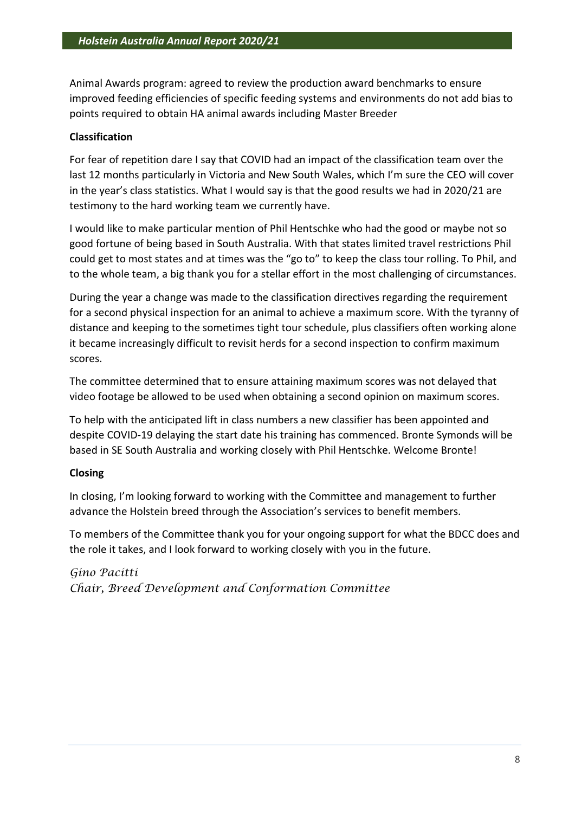Animal Awards program: agreed to review the production award benchmarks to ensure improved feeding efficiencies of specific feeding systems and environments do not add bias to points required to obtain HA animal awards including Master Breeder

# **Classification**

For fear of repetition dare I say that COVID had an impact of the classification team over the last 12 months particularly in Victoria and New South Wales, which I'm sure the CEO will cover in the year's class statistics. What I would say is that the good results we had in 2020/21 are testimony to the hard working team we currently have.

I would like to make particular mention of Phil Hentschke who had the good or maybe not so good fortune of being based in South Australia. With that states limited travel restrictions Phil could get to most states and at times was the "go to" to keep the class tour rolling. To Phil, and to the whole team, a big thank you for a stellar effort in the most challenging of circumstances.

During the year a change was made to the classification directives regarding the requirement for a second physical inspection for an animal to achieve a maximum score. With the tyranny of distance and keeping to the sometimes tight tour schedule, plus classifiers often working alone it became increasingly difficult to revisit herds for a second inspection to confirm maximum scores.

The committee determined that to ensure attaining maximum scores was not delayed that video footage be allowed to be used when obtaining a second opinion on maximum scores.

To help with the anticipated lift in class numbers a new classifier has been appointed and despite COVID-19 delaying the start date his training has commenced. Bronte Symonds will be based in SE South Australia and working closely with Phil Hentschke. Welcome Bronte!

# **Closing**

In closing, I'm looking forward to working with the Committee and management to further advance the Holstein breed through the Association's services to benefit members.

To members of the Committee thank you for your ongoing support for what the BDCC does and the role it takes, and I look forward to working closely with you in the future.

*Gino Pacitti Chair, Breed Development and Conformation Committee*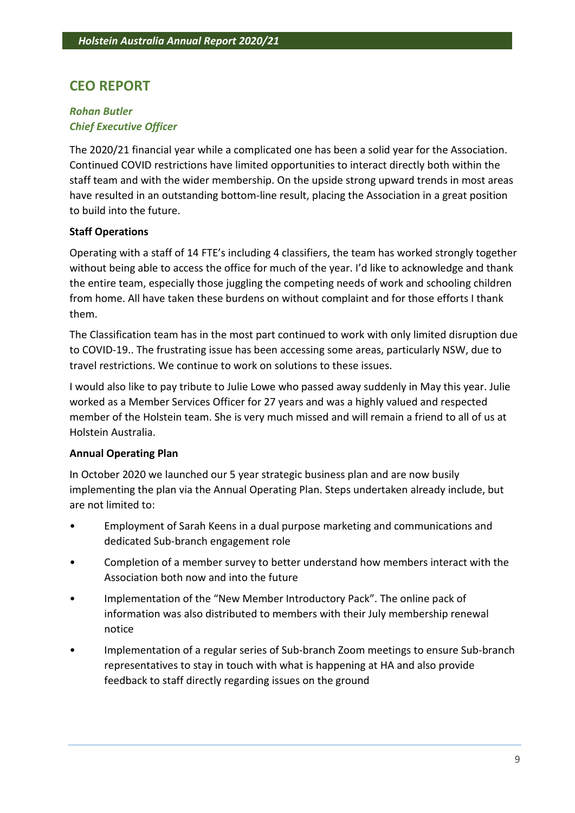# **CEO REPORT**

# *Rohan Butler Chief Executive Officer*

The 2020/21 financial year while a complicated one has been a solid year for the Association. Continued COVID restrictions have limited opportunities to interact directly both within the staff team and with the wider membership. On the upside strong upward trends in most areas have resulted in an outstanding bottom-line result, placing the Association in a great position to build into the future.

# **Staff Operations**

Operating with a staff of 14 FTE's including 4 classifiers, the team has worked strongly together without being able to access the office for much of the year. I'd like to acknowledge and thank the entire team, especially those juggling the competing needs of work and schooling children from home. All have taken these burdens on without complaint and for those efforts I thank them.

The Classification team has in the most part continued to work with only limited disruption due to COVID-19.. The frustrating issue has been accessing some areas, particularly NSW, due to travel restrictions. We continue to work on solutions to these issues.

I would also like to pay tribute to Julie Lowe who passed away suddenly in May this year. Julie worked as a Member Services Officer for 27 years and was a highly valued and respected member of the Holstein team. She is very much missed and will remain a friend to all of us at Holstein Australia.

# **Annual Operating Plan**

In October 2020 we launched our 5 year strategic business plan and are now busily implementing the plan via the Annual Operating Plan. Steps undertaken already include, but are not limited to:

- Employment of Sarah Keens in a dual purpose marketing and communications and dedicated Sub-branch engagement role
- Completion of a member survey to better understand how members interact with the Association both now and into the future
- Implementation of the "New Member Introductory Pack". The online pack of information was also distributed to members with their July membership renewal notice
- Implementation of a regular series of Sub-branch Zoom meetings to ensure Sub-branch representatives to stay in touch with what is happening at HA and also provide feedback to staff directly regarding issues on the ground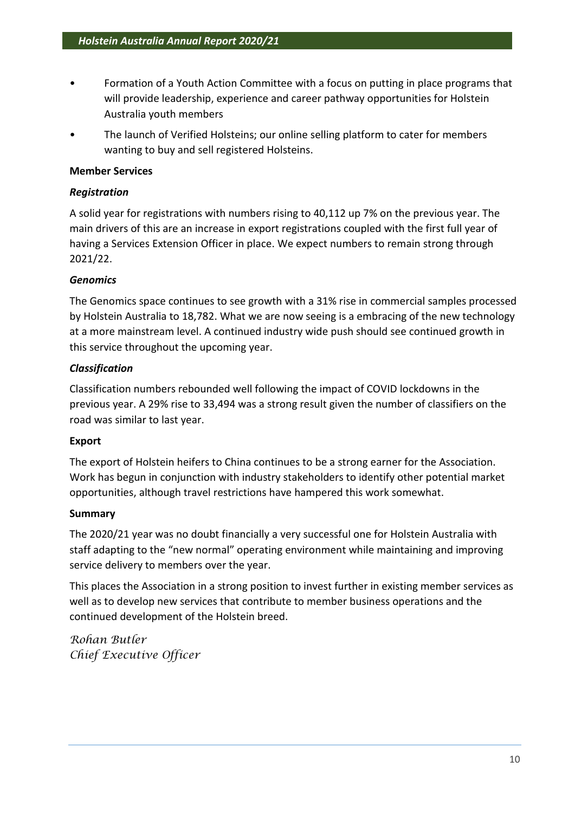- Formation of a Youth Action Committee with a focus on putting in place programs that will provide leadership, experience and career pathway opportunities for Holstein Australia youth members
- The launch of Verified Holsteins; our online selling platform to cater for members wanting to buy and sell registered Holsteins.

# **Member Services**

# *Registration*

A solid year for registrations with numbers rising to 40,112 up 7% on the previous year. The main drivers of this are an increase in export registrations coupled with the first full year of having a Services Extension Officer in place. We expect numbers to remain strong through 2021/22.

# *Genomics*

The Genomics space continues to see growth with a 31% rise in commercial samples processed by Holstein Australia to 18,782. What we are now seeing is a embracing of the new technology at a more mainstream level. A continued industry wide push should see continued growth in this service throughout the upcoming year.

# *Classification*

Classification numbers rebounded well following the impact of COVID lockdowns in the previous year. A 29% rise to 33,494 was a strong result given the number of classifiers on the road was similar to last year.

# **Export**

The export of Holstein heifers to China continues to be a strong earner for the Association. Work has begun in conjunction with industry stakeholders to identify other potential market opportunities, although travel restrictions have hampered this work somewhat.

# **Summary**

The 2020/21 year was no doubt financially a very successful one for Holstein Australia with staff adapting to the "new normal" operating environment while maintaining and improving service delivery to members over the year.

This places the Association in a strong position to invest further in existing member services as well as to develop new services that contribute to member business operations and the continued development of the Holstein breed.

*Rohan Butler Chief Executive Officer*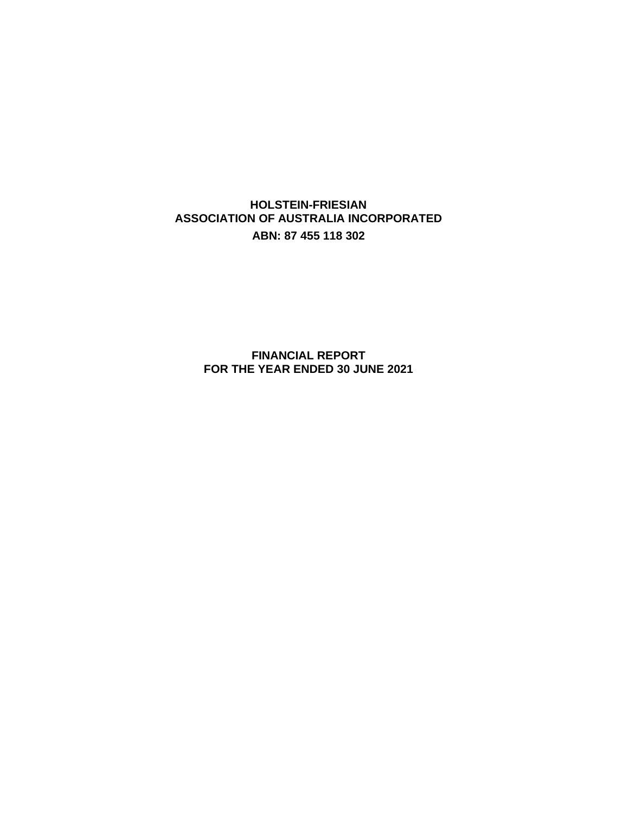**HOLSTEIN-FRIESIAN ASSOCIATION OF AUSTRALIA INCORPORATED ABN: 87 455 118 302**

> **FINANCIAL REPORT FOR THE YEAR ENDED 30 JUNE 2021**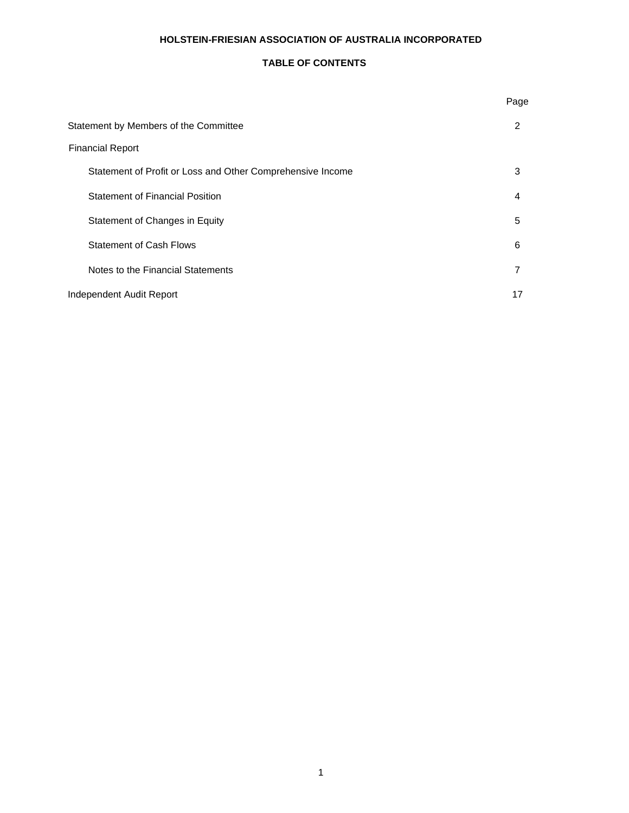### **TABLE OF CONTENTS**

|                                                            | Page |
|------------------------------------------------------------|------|
| Statement by Members of the Committee                      | 2    |
| <b>Financial Report</b>                                    |      |
| Statement of Profit or Loss and Other Comprehensive Income | 3    |
| <b>Statement of Financial Position</b>                     | 4    |
| Statement of Changes in Equity                             | 5    |
| <b>Statement of Cash Flows</b>                             | 6    |
| Notes to the Financial Statements                          | 7    |
| Independent Audit Report                                   | 17   |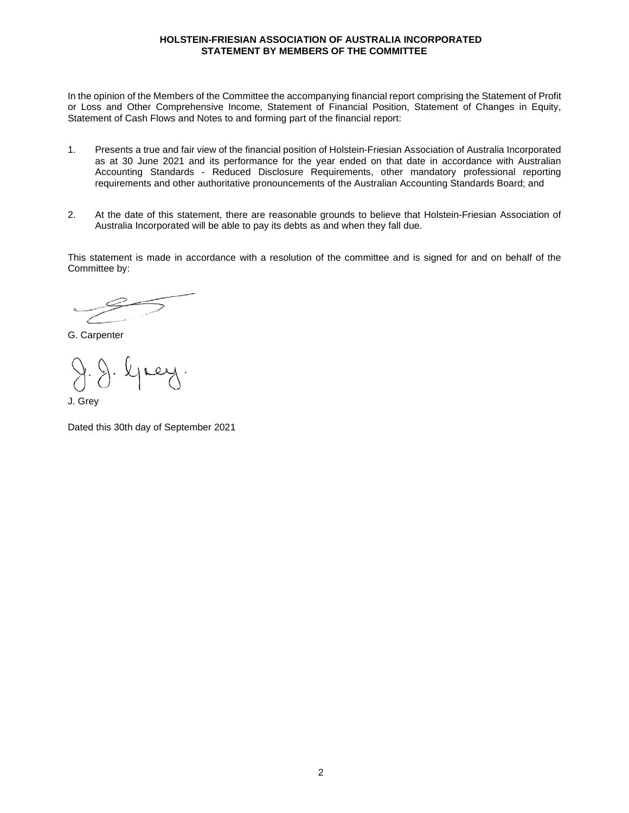#### **HOLSTEIN-FRIESIAN ASSOCIATION OF AUSTRALIA INCORPORATED STATEMENT BY MEMBERS OF THE COMMITTEE**

In the opinion of the Members of the Committee the accompanying financial report comprising the Statement of Profit or Loss and Other Comprehensive Income, Statement of Financial Position, Statement of Changes in Equity, Statement of Cash Flows and Notes to and forming part of the financial report:

- 1. Presents a true and fair view of the financial position of Holstein-Friesian Association of Australia Incorporated as at 30 June 2021 and its performance for the year ended on that date in accordance with Australian Accounting Standards - Reduced Disclosure Requirements, other mandatory professional reporting requirements and other authoritative pronouncements of the Australian Accounting Standards Board; and
- 2. At the date of this statement, there are reasonable grounds to believe that Holstein-Friesian Association of Australia Incorporated will be able to pay its debts as and when they fall due.

This statement is made in accordance with a resolution of the committee and is signed for and on behalf of the Committee by:

G. Carpenter

J. Grey

Dated this 30th day of September 2021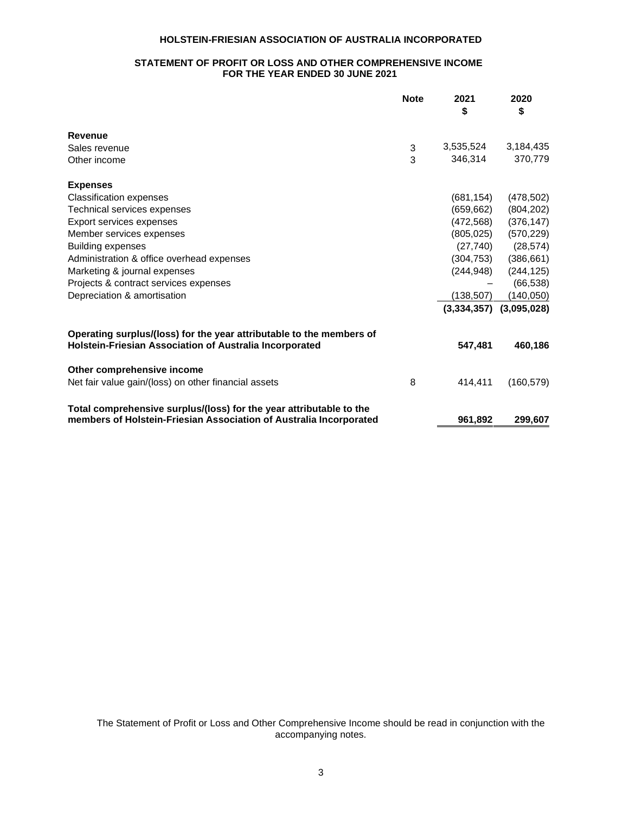### **STATEMENT OF PROFIT OR LOSS AND OTHER COMPREHENSIVE INCOME FOR THE YEAR ENDED 30 JUNE 2021**

|                                                                                                                                           | <b>Note</b> | 2021<br>\$  | 2020<br>\$  |
|-------------------------------------------------------------------------------------------------------------------------------------------|-------------|-------------|-------------|
| Revenue                                                                                                                                   |             |             |             |
| Sales revenue                                                                                                                             | 3           | 3,535,524   | 3,184,435   |
| Other income                                                                                                                              | 3           | 346.314     | 370,779     |
| <b>Expenses</b>                                                                                                                           |             |             |             |
| <b>Classification expenses</b>                                                                                                            |             | (681, 154)  | (478, 502)  |
| Technical services expenses                                                                                                               |             | (659, 662)  | (804, 202)  |
| Export services expenses                                                                                                                  |             | (472,568)   | (376, 147)  |
| Member services expenses                                                                                                                  |             | (805, 025)  | (570, 229)  |
| <b>Building expenses</b>                                                                                                                  |             | (27, 740)   | (28, 574)   |
| Administration & office overhead expenses                                                                                                 |             | (304, 753)  | (386, 661)  |
| Marketing & journal expenses                                                                                                              |             | (244, 948)  | (244, 125)  |
| Projects & contract services expenses                                                                                                     |             |             | (66, 538)   |
| Depreciation & amortisation                                                                                                               |             | (138,507)   | (140, 050)  |
|                                                                                                                                           |             | (3,334,357) | (3,095,028) |
| Operating surplus/(loss) for the year attributable to the members of<br>Holstein-Friesian Association of Australia Incorporated           |             | 547,481     | 460,186     |
| Other comprehensive income                                                                                                                |             |             |             |
| Net fair value gain/(loss) on other financial assets                                                                                      | 8           | 414.411     | (160, 579)  |
| Total comprehensive surplus/(loss) for the year attributable to the<br>members of Holstein-Friesian Association of Australia Incorporated |             | 961,892     | 299,607     |

The Statement of Profit or Loss and Other Comprehensive Income should be read in conjunction with the accompanying notes.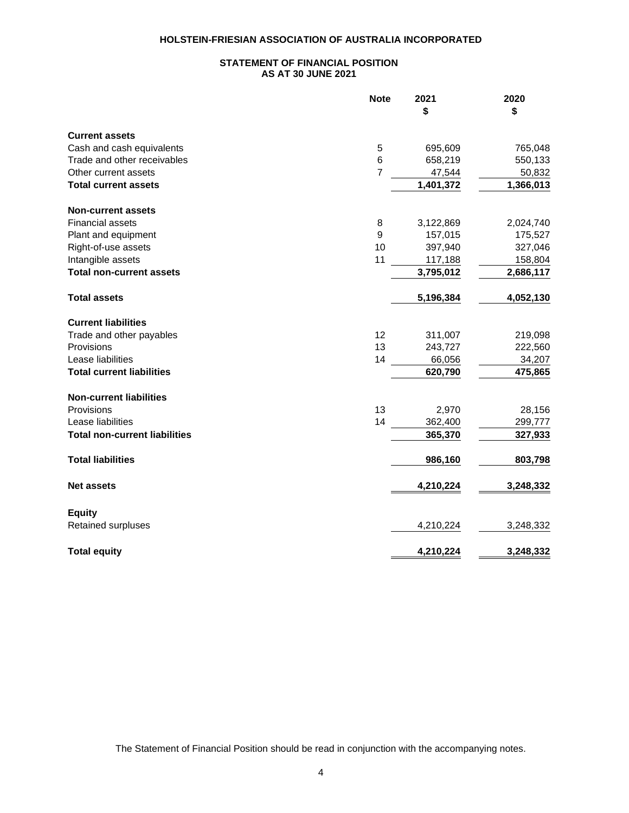### **STATEMENT OF FINANCIAL POSITION AS AT 30 JUNE 2021**

|                                      | <b>Note</b>    | 2021<br>\$ | 2020<br>\$ |
|--------------------------------------|----------------|------------|------------|
| <b>Current assets</b>                |                |            |            |
| Cash and cash equivalents            | 5              | 695,609    | 765,048    |
| Trade and other receivables          | $\,6$          | 658,219    | 550,133    |
| Other current assets                 | $\overline{7}$ | 47,544     | 50,832     |
| <b>Total current assets</b>          |                | 1,401,372  | 1,366,013  |
| <b>Non-current assets</b>            |                |            |            |
| <b>Financial assets</b>              | 8              | 3,122,869  | 2,024,740  |
| Plant and equipment                  | 9              | 157,015    | 175,527    |
| Right-of-use assets                  | 10             | 397,940    | 327,046    |
| Intangible assets                    | 11             | 117,188    | 158,804    |
| <b>Total non-current assets</b>      |                | 3,795,012  | 2,686,117  |
| <b>Total assets</b>                  |                | 5,196,384  | 4,052,130  |
| <b>Current liabilities</b>           |                |            |            |
| Trade and other payables             | 12             | 311,007    | 219,098    |
| Provisions                           | 13             | 243,727    | 222,560    |
| Lease liabilities                    | 14             | 66,056     | 34,207     |
| <b>Total current liabilities</b>     |                | 620,790    | 475,865    |
| <b>Non-current liabilities</b>       |                |            |            |
| Provisions                           | 13             | 2,970      | 28,156     |
| Lease liabilities                    | 14             | 362,400    | 299,777    |
| <b>Total non-current liabilities</b> |                | 365,370    | 327,933    |
| <b>Total liabilities</b>             |                | 986,160    | 803,798    |
| <b>Net assets</b>                    |                | 4,210,224  | 3,248,332  |
| <b>Equity</b>                        |                |            |            |
| Retained surpluses                   |                | 4,210,224  | 3,248,332  |
| <b>Total equity</b>                  |                | 4,210,224  | 3,248,332  |

The Statement of Financial Position should be read in conjunction with the accompanying notes.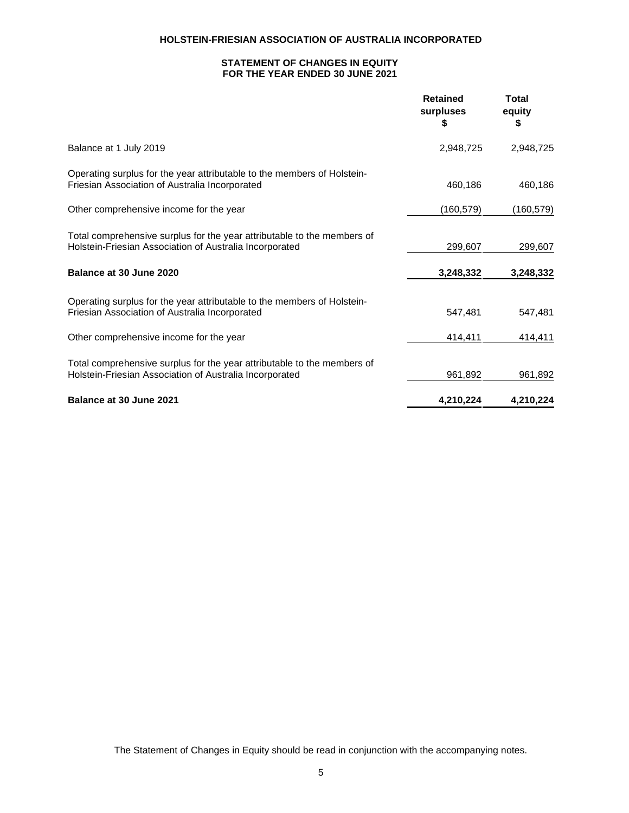### **STATEMENT OF CHANGES IN EQUITY FOR THE YEAR ENDED 30 JUNE 2021**

|                                                                                                                                    | <b>Retained</b><br>surpluses<br>S | Total<br>equity<br>S |
|------------------------------------------------------------------------------------------------------------------------------------|-----------------------------------|----------------------|
| Balance at 1 July 2019                                                                                                             | 2,948,725                         | 2,948,725            |
| Operating surplus for the year attributable to the members of Holstein-<br>Friesian Association of Australia Incorporated          | 460,186                           | 460,186              |
| Other comprehensive income for the year                                                                                            | (160, 579)                        | (160, 579)           |
| Total comprehensive surplus for the year attributable to the members of<br>Holstein-Friesian Association of Australia Incorporated | 299,607                           | 299,607              |
| Balance at 30 June 2020                                                                                                            | 3,248,332                         | 3,248,332            |
| Operating surplus for the year attributable to the members of Holstein-<br>Friesian Association of Australia Incorporated          | 547,481                           | 547,481              |
| Other comprehensive income for the year                                                                                            | 414,411                           | 414,411              |
| Total comprehensive surplus for the year attributable to the members of<br>Holstein-Friesian Association of Australia Incorporated | 961,892                           | 961,892              |
| Balance at 30 June 2021                                                                                                            | 4,210,224                         | 4,210,224            |

The Statement of Changes in Equity should be read in conjunction with the accompanying notes.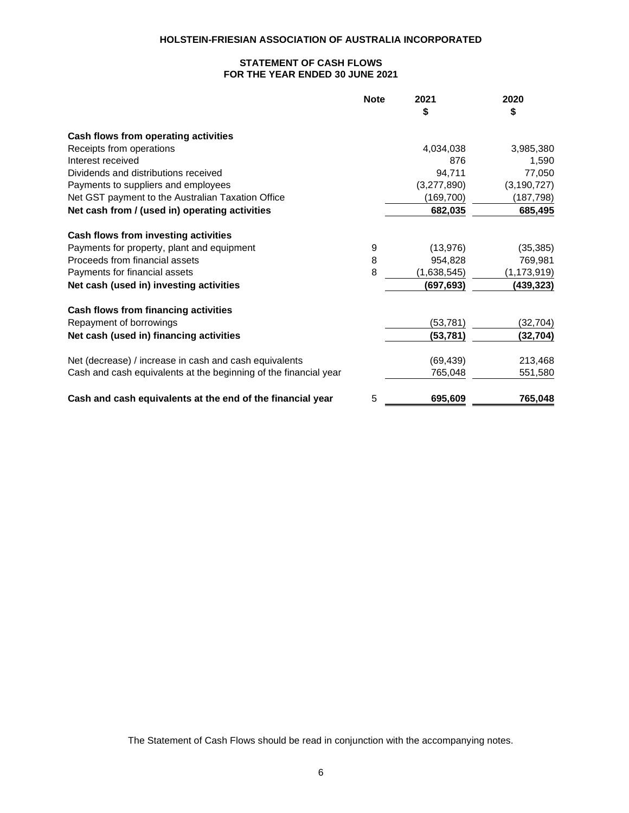### **STATEMENT OF CASH FLOWS FOR THE YEAR ENDED 30 JUNE 2021**

|                                                                  | <b>Note</b> | 2021        | 2020          |
|------------------------------------------------------------------|-------------|-------------|---------------|
|                                                                  |             | \$          | \$            |
| Cash flows from operating activities                             |             |             |               |
| Receipts from operations                                         |             | 4,034,038   | 3,985,380     |
| Interest received                                                |             | 876         | 1,590         |
| Dividends and distributions received                             |             | 94,711      | 77,050        |
| Payments to suppliers and employees                              |             | (3,277,890) | (3, 190, 727) |
| Net GST payment to the Australian Taxation Office                |             | (169, 700)  | (187, 798)    |
| Net cash from / (used in) operating activities                   |             | 682,035     | 685,495       |
| Cash flows from investing activities                             |             |             |               |
| Payments for property, plant and equipment                       | 9           | (13, 976)   | (35, 385)     |
| Proceeds from financial assets                                   | 8           | 954,828     | 769,981       |
| Payments for financial assets                                    | 8           | (1,638,545) | (1, 173, 919) |
| Net cash (used in) investing activities                          |             | (697, 693)  | (439,323)     |
| Cash flows from financing activities                             |             |             |               |
| Repayment of borrowings                                          |             | (53, 781)   | (32, 704)     |
| Net cash (used in) financing activities                          |             | (53, 781)   | (32,704)      |
| Net (decrease) / increase in cash and cash equivalents           |             | (69, 439)   | 213,468       |
| Cash and cash equivalents at the beginning of the financial year |             | 765,048     | 551,580       |
| Cash and cash equivalents at the end of the financial year       | 5           | 695,609     | 765,048       |

The Statement of Cash Flows should be read in conjunction with the accompanying notes.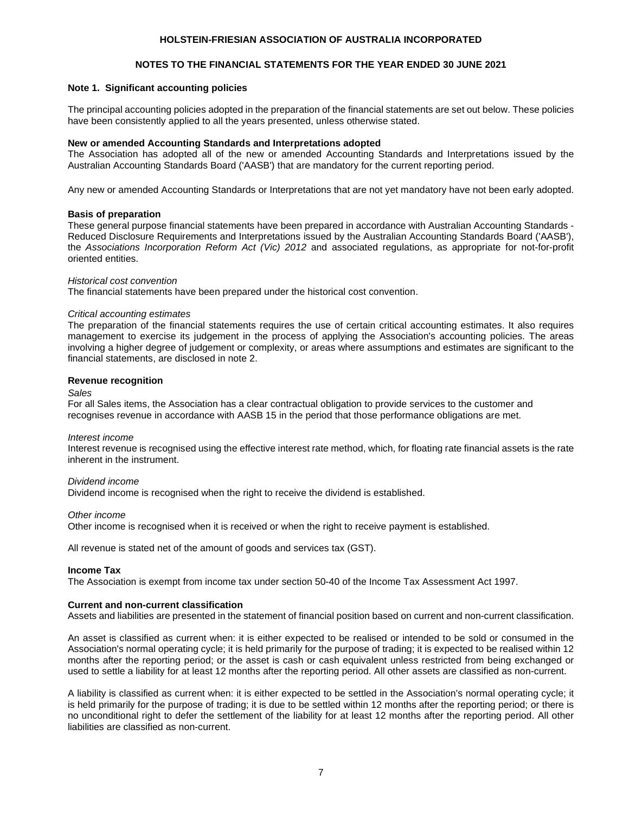### **NOTES TO THE FINANCIAL STATEMENTS FOR THE YEAR ENDED 30 JUNE 2021**

#### **Note 1. Significant accounting policies**

The principal accounting policies adopted in the preparation of the financial statements are set out below. These policies have been consistently applied to all the years presented, unless otherwise stated.

#### **New or amended Accounting Standards and Interpretations adopted**

The Association has adopted all of the new or amended Accounting Standards and Interpretations issued by the Australian Accounting Standards Board ('AASB') that are mandatory for the current reporting period.

Any new or amended Accounting Standards or Interpretations that are not yet mandatory have not been early adopted.

#### **Basis of preparation**

These general purpose financial statements have been prepared in accordance with Australian Accounting Standards - Reduced Disclosure Requirements and Interpretations issued by the Australian Accounting Standards Board ('AASB'), the *Associations Incorporation Reform Act (Vic) 2012* and associated regulations, as appropriate for not-for-profit oriented entities.

#### *Historical cost convention*

The financial statements have been prepared under the historical cost convention.

#### *Critical accounting estimates*

The preparation of the financial statements requires the use of certain critical accounting estimates. It also requires management to exercise its judgement in the process of applying the Association's accounting policies. The areas involving a higher degree of judgement or complexity, or areas where assumptions and estimates are significant to the financial statements, are disclosed in note 2.

#### **Revenue recognition**

#### *Sales*

For all Sales items, the Association has a clear contractual obligation to provide services to the customer and recognises revenue in accordance with AASB 15 in the period that those performance obligations are met.

#### *Interest income*

Interest revenue is recognised using the effective interest rate method, which, for floating rate financial assets is the rate inherent in the instrument.

#### *Dividend income*

Dividend income is recognised when the right to receive the dividend is established.

#### *Other income*

Other income is recognised when it is received or when the right to receive payment is established.

All revenue is stated net of the amount of goods and services tax (GST).

#### **Income Tax**

The Association is exempt from income tax under section 50-40 of the Income Tax Assessment Act 1997.

#### **Current and non-current classification**

Assets and liabilities are presented in the statement of financial position based on current and non-current classification.

An asset is classified as current when: it is either expected to be realised or intended to be sold or consumed in the Association's normal operating cycle; it is held primarily for the purpose of trading; it is expected to be realised within 12 months after the reporting period; or the asset is cash or cash equivalent unless restricted from being exchanged or used to settle a liability for at least 12 months after the reporting period. All other assets are classified as non-current.

A liability is classified as current when: it is either expected to be settled in the Association's normal operating cycle; it is held primarily for the purpose of trading; it is due to be settled within 12 months after the reporting period; or there is no unconditional right to defer the settlement of the liability for at least 12 months after the reporting period. All other liabilities are classified as non-current.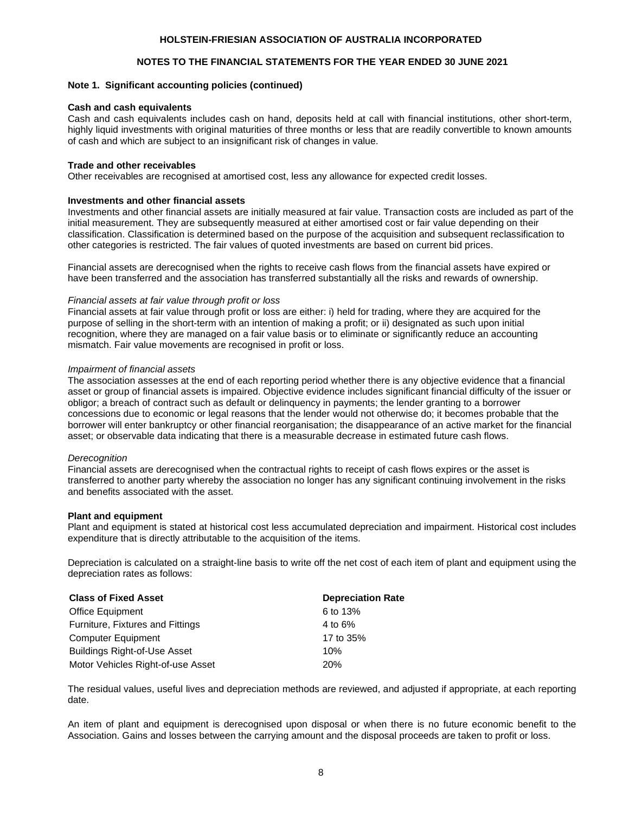### **NOTES TO THE FINANCIAL STATEMENTS FOR THE YEAR ENDED 30 JUNE 2021**

#### **Note 1. Significant accounting policies (continued)**

#### **Cash and cash equivalents**

Cash and cash equivalents includes cash on hand, deposits held at call with financial institutions, other short-term, highly liquid investments with original maturities of three months or less that are readily convertible to known amounts of cash and which are subject to an insignificant risk of changes in value.

#### **Trade and other receivables**

Other receivables are recognised at amortised cost, less any allowance for expected credit losses.

#### **Investments and other financial assets**

Investments and other financial assets are initially measured at fair value. Transaction costs are included as part of the initial measurement. They are subsequently measured at either amortised cost or fair value depending on their classification. Classification is determined based on the purpose of the acquisition and subsequent reclassification to other categories is restricted. The fair values of quoted investments are based on current bid prices.

Financial assets are derecognised when the rights to receive cash flows from the financial assets have expired or have been transferred and the association has transferred substantially all the risks and rewards of ownership.

#### *Financial assets at fair value through profit or loss*

Financial assets at fair value through profit or loss are either: i) held for trading, where they are acquired for the purpose of selling in the short-term with an intention of making a profit; or ii) designated as such upon initial recognition, where they are managed on a fair value basis or to eliminate or significantly reduce an accounting mismatch. Fair value movements are recognised in profit or loss.

#### *Impairment of financial assets*

The association assesses at the end of each reporting period whether there is any objective evidence that a financial asset or group of financial assets is impaired. Objective evidence includes significant financial difficulty of the issuer or obligor; a breach of contract such as default or delinquency in payments; the lender granting to a borrower concessions due to economic or legal reasons that the lender would not otherwise do; it becomes probable that the borrower will enter bankruptcy or other financial reorganisation; the disappearance of an active market for the financial asset; or observable data indicating that there is a measurable decrease in estimated future cash flows.

#### *Derecognition*

Financial assets are derecognised when the contractual rights to receipt of cash flows expires or the asset is transferred to another party whereby the association no longer has any significant continuing involvement in the risks and benefits associated with the asset.

#### **Plant and equipment**

Plant and equipment is stated at historical cost less accumulated depreciation and impairment. Historical cost includes expenditure that is directly attributable to the acquisition of the items.

Depreciation is calculated on a straight-line basis to write off the net cost of each item of plant and equipment using the depreciation rates as follows:

| <b>Class of Fixed Asset</b>         | <b>Depreciation Rate</b> |
|-------------------------------------|--------------------------|
| <b>Office Equipment</b>             | 6 to 13%                 |
| Furniture, Fixtures and Fittings    | 4 to 6%                  |
| <b>Computer Equipment</b>           | 17 to 35%                |
| <b>Buildings Right-of-Use Asset</b> | 10%                      |
| Motor Vehicles Right-of-use Asset   | 20%                      |

The residual values, useful lives and depreciation methods are reviewed, and adjusted if appropriate, at each reporting date.

An item of plant and equipment is derecognised upon disposal or when there is no future economic benefit to the Association. Gains and losses between the carrying amount and the disposal proceeds are taken to profit or loss.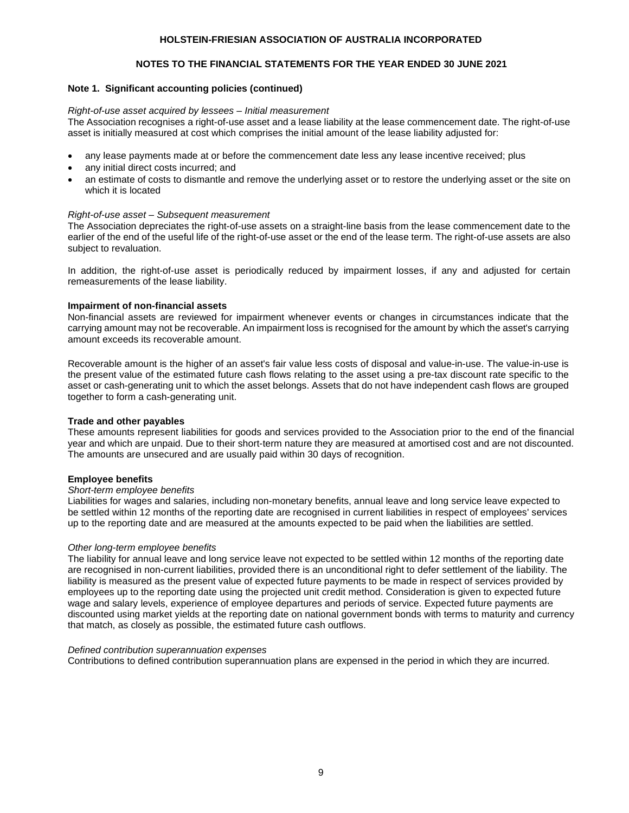### **NOTES TO THE FINANCIAL STATEMENTS FOR THE YEAR ENDED 30 JUNE 2021**

#### **Note 1. Significant accounting policies (continued)**

#### *Right-of-use asset acquired by lessees – Initial measurement*

The Association recognises a right-of-use asset and a lease liability at the lease commencement date. The right-of-use asset is initially measured at cost which comprises the initial amount of the lease liability adjusted for:

- any lease payments made at or before the commencement date less any lease incentive received; plus
- any initial direct costs incurred; and
- an estimate of costs to dismantle and remove the underlying asset or to restore the underlying asset or the site on which it is located

#### *Right-of-use asset – Subsequent measurement*

The Association depreciates the right-of-use assets on a straight-line basis from the lease commencement date to the earlier of the end of the useful life of the right-of-use asset or the end of the lease term. The right-of-use assets are also subject to revaluation.

In addition, the right-of-use asset is periodically reduced by impairment losses, if any and adjusted for certain remeasurements of the lease liability.

#### **Impairment of non-financial assets**

Non-financial assets are reviewed for impairment whenever events or changes in circumstances indicate that the carrying amount may not be recoverable. An impairment loss is recognised for the amount by which the asset's carrying amount exceeds its recoverable amount.

Recoverable amount is the higher of an asset's fair value less costs of disposal and value-in-use. The value-in-use is the present value of the estimated future cash flows relating to the asset using a pre-tax discount rate specific to the asset or cash-generating unit to which the asset belongs. Assets that do not have independent cash flows are grouped together to form a cash-generating unit.

#### **Trade and other payables**

These amounts represent liabilities for goods and services provided to the Association prior to the end of the financial year and which are unpaid. Due to their short-term nature they are measured at amortised cost and are not discounted. The amounts are unsecured and are usually paid within 30 days of recognition.

#### **Employee benefits**

#### *Short-term employee benefits*

Liabilities for wages and salaries, including non-monetary benefits, annual leave and long service leave expected to be settled within 12 months of the reporting date are recognised in current liabilities in respect of employees' services up to the reporting date and are measured at the amounts expected to be paid when the liabilities are settled.

#### *Other long-term employee benefits*

The liability for annual leave and long service leave not expected to be settled within 12 months of the reporting date are recognised in non-current liabilities, provided there is an unconditional right to defer settlement of the liability. The liability is measured as the present value of expected future payments to be made in respect of services provided by employees up to the reporting date using the projected unit credit method. Consideration is given to expected future wage and salary levels, experience of employee departures and periods of service. Expected future payments are discounted using market yields at the reporting date on national government bonds with terms to maturity and currency that match, as closely as possible, the estimated future cash outflows.

#### *Defined contribution superannuation expenses*

Contributions to defined contribution superannuation plans are expensed in the period in which they are incurred.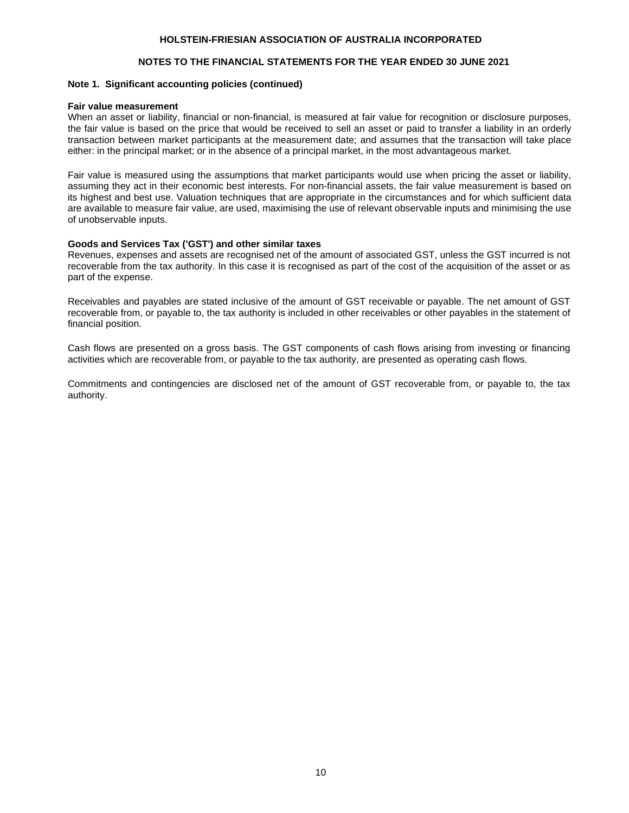### **NOTES TO THE FINANCIAL STATEMENTS FOR THE YEAR ENDED 30 JUNE 2021**

#### **Note 1. Significant accounting policies (continued)**

#### **Fair value measurement**

When an asset or liability, financial or non-financial, is measured at fair value for recognition or disclosure purposes, the fair value is based on the price that would be received to sell an asset or paid to transfer a liability in an orderly transaction between market participants at the measurement date; and assumes that the transaction will take place either: in the principal market; or in the absence of a principal market, in the most advantageous market.

Fair value is measured using the assumptions that market participants would use when pricing the asset or liability, assuming they act in their economic best interests. For non-financial assets, the fair value measurement is based on its highest and best use. Valuation techniques that are appropriate in the circumstances and for which sufficient data are available to measure fair value, are used, maximising the use of relevant observable inputs and minimising the use of unobservable inputs.

#### **Goods and Services Tax ('GST') and other similar taxes**

Revenues, expenses and assets are recognised net of the amount of associated GST, unless the GST incurred is not recoverable from the tax authority. In this case it is recognised as part of the cost of the acquisition of the asset or as part of the expense.

Receivables and payables are stated inclusive of the amount of GST receivable or payable. The net amount of GST recoverable from, or payable to, the tax authority is included in other receivables or other payables in the statement of financial position.

Cash flows are presented on a gross basis. The GST components of cash flows arising from investing or financing activities which are recoverable from, or payable to the tax authority, are presented as operating cash flows.

Commitments and contingencies are disclosed net of the amount of GST recoverable from, or payable to, the tax authority.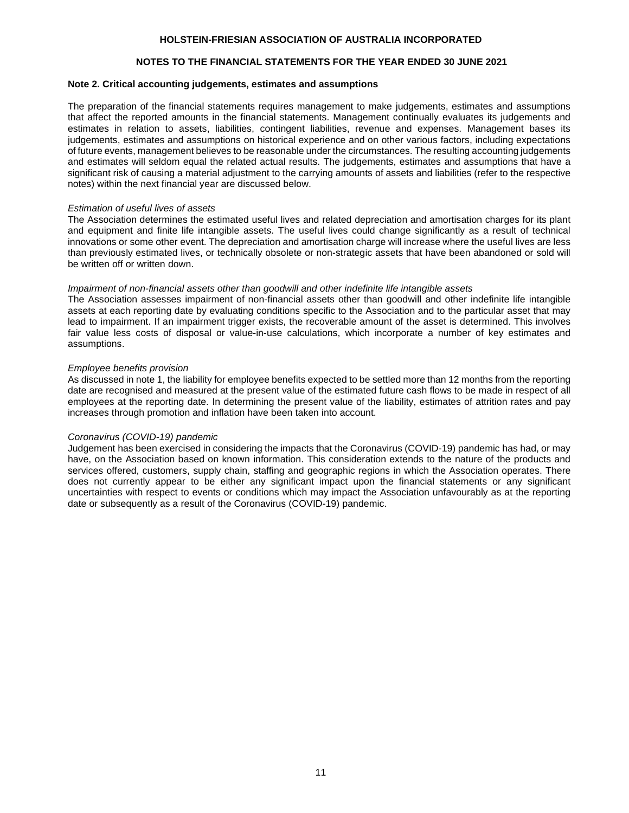### **NOTES TO THE FINANCIAL STATEMENTS FOR THE YEAR ENDED 30 JUNE 2021**

#### **Note 2. Critical accounting judgements, estimates and assumptions**

The preparation of the financial statements requires management to make judgements, estimates and assumptions that affect the reported amounts in the financial statements. Management continually evaluates its judgements and estimates in relation to assets, liabilities, contingent liabilities, revenue and expenses. Management bases its judgements, estimates and assumptions on historical experience and on other various factors, including expectations of future events, management believes to be reasonable under the circumstances. The resulting accounting judgements and estimates will seldom equal the related actual results. The judgements, estimates and assumptions that have a significant risk of causing a material adjustment to the carrying amounts of assets and liabilities (refer to the respective notes) within the next financial year are discussed below.

#### *Estimation of useful lives of assets*

The Association determines the estimated useful lives and related depreciation and amortisation charges for its plant and equipment and finite life intangible assets. The useful lives could change significantly as a result of technical innovations or some other event. The depreciation and amortisation charge will increase where the useful lives are less than previously estimated lives, or technically obsolete or non-strategic assets that have been abandoned or sold will be written off or written down.

#### *Impairment of non-financial assets other than goodwill and other indefinite life intangible assets*

The Association assesses impairment of non-financial assets other than goodwill and other indefinite life intangible assets at each reporting date by evaluating conditions specific to the Association and to the particular asset that may lead to impairment. If an impairment trigger exists, the recoverable amount of the asset is determined. This involves fair value less costs of disposal or value-in-use calculations, which incorporate a number of key estimates and assumptions.

#### *Employee benefits provision*

As discussed in note 1, the liability for employee benefits expected to be settled more than 12 months from the reporting date are recognised and measured at the present value of the estimated future cash flows to be made in respect of all employees at the reporting date. In determining the present value of the liability, estimates of attrition rates and pay increases through promotion and inflation have been taken into account.

#### *Coronavirus (COVID-19) pandemic*

Judgement has been exercised in considering the impacts that the Coronavirus (COVID-19) pandemic has had, or may have, on the Association based on known information. This consideration extends to the nature of the products and services offered, customers, supply chain, staffing and geographic regions in which the Association operates. There does not currently appear to be either any significant impact upon the financial statements or any significant uncertainties with respect to events or conditions which may impact the Association unfavourably as at the reporting date or subsequently as a result of the Coronavirus (COVID-19) pandemic.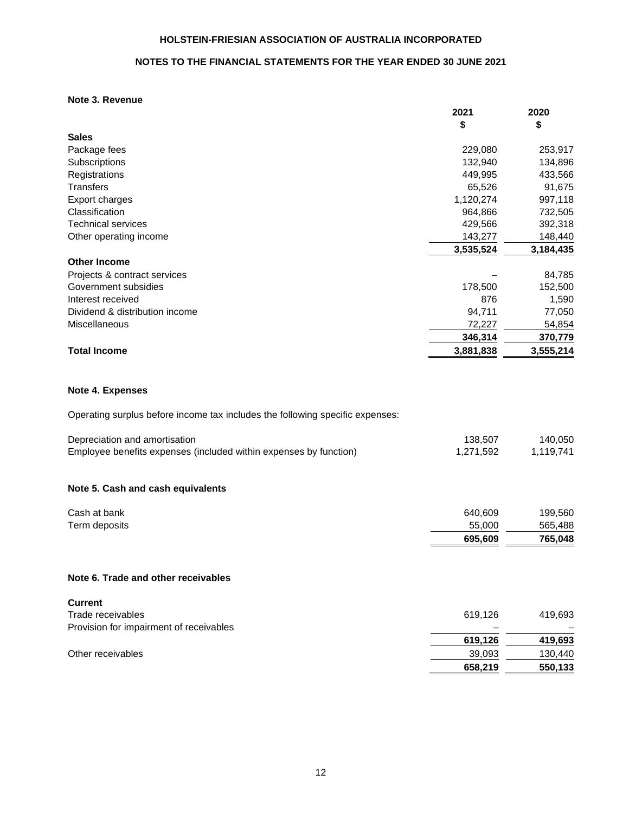### **NOTES TO THE FINANCIAL STATEMENTS FOR THE YEAR ENDED 30 JUNE 2021**

### **Note 3. Revenue**

|                                | 2021      | 2020      |
|--------------------------------|-----------|-----------|
|                                | \$        | \$        |
| <b>Sales</b>                   |           |           |
| Package fees                   | 229,080   | 253,917   |
| Subscriptions                  | 132,940   | 134,896   |
| Registrations                  | 449,995   | 433,566   |
| <b>Transfers</b>               | 65,526    | 91,675    |
| Export charges                 | 1,120,274 | 997,118   |
| Classification                 | 964,866   | 732,505   |
| <b>Technical services</b>      | 429,566   | 392,318   |
| Other operating income         | 143,277   | 148,440   |
|                                | 3,535,524 | 3,184,435 |
| <b>Other Income</b>            |           |           |
| Projects & contract services   |           | 84,785    |
| Government subsidies           | 178,500   | 152,500   |
| Interest received              | 876       | 1,590     |
| Dividend & distribution income | 94,711    | 77,050    |
| Miscellaneous                  | 72,227    | 54,854    |
|                                | 346,314   | 370,779   |
| <b>Total Income</b>            | 3,881,838 | 3,555,214 |
|                                |           |           |
| Note 4. Expenses               |           |           |

Operating surplus before income tax includes the following specific expenses:

| Depreciation and amortisation                                     | 138,507   | 140,050   |
|-------------------------------------------------------------------|-----------|-----------|
| Employee benefits expenses (included within expenses by function) | 1,271,592 | 1,119,741 |
| Note 5. Cash and cash equivalents                                 |           |           |
| Cash at bank                                                      | 640,609   | 199,560   |
| Term deposits                                                     | 55,000    | 565,488   |
|                                                                   | 695,609   | 765,048   |
| Note 6. Trade and other receivables                               |           |           |
| <b>Current</b>                                                    |           |           |
| Trade receivables                                                 | 619,126   | 419,693   |
| Provision for impairment of receivables                           |           |           |
|                                                                   | 619,126   | 419,693   |
| Other receivables                                                 | 39,093    | 130,440   |

**658,219 550,133**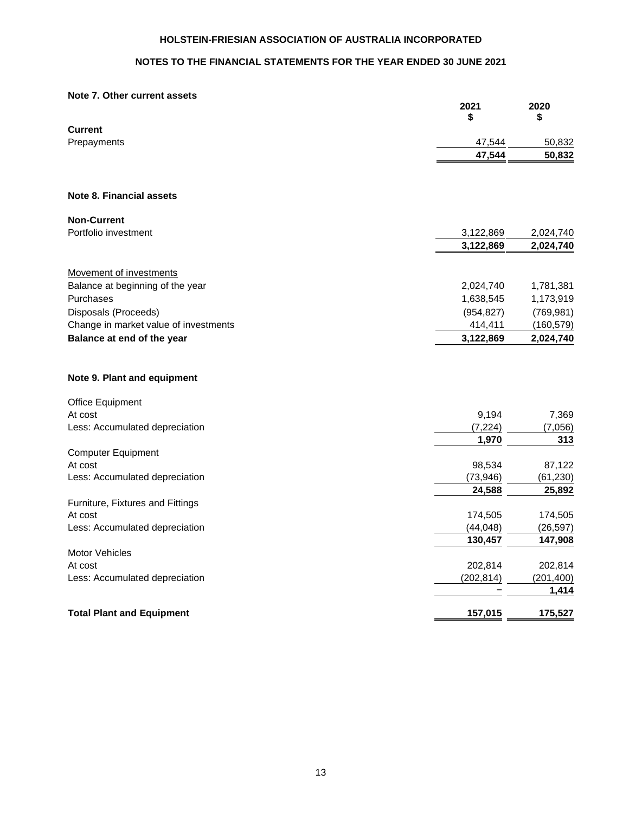## **NOTES TO THE FINANCIAL STATEMENTS FOR THE YEAR ENDED 30 JUNE 2021**

#### **Note 7. Other current assets**

|                                           | 2021<br>\$          | 2020<br>\$          |
|-------------------------------------------|---------------------|---------------------|
| <b>Current</b>                            |                     |                     |
| Prepayments                               | 47,544              | 50,832              |
|                                           | 47,544              | 50,832              |
| Note 8. Financial assets                  |                     |                     |
| <b>Non-Current</b>                        |                     |                     |
| Portfolio investment                      | 3,122,869           | 2,024,740           |
|                                           | 3,122,869           | 2,024,740           |
| Movement of investments                   |                     |                     |
| Balance at beginning of the year          | 2,024,740           | 1,781,381           |
| Purchases                                 | 1,638,545           | 1,173,919           |
| Disposals (Proceeds)                      | (954, 827)          | (769, 981)          |
| Change in market value of investments     | 414,411             | (160, 579)          |
| Balance at end of the year                | 3,122,869           | 2,024,740           |
| Note 9. Plant and equipment               |                     |                     |
| <b>Office Equipment</b>                   |                     |                     |
| At cost                                   | 9,194               | 7,369               |
| Less: Accumulated depreciation            | (7, 224)            | (7,056)             |
|                                           | 1,970               | 313                 |
| <b>Computer Equipment</b>                 |                     |                     |
| At cost<br>Less: Accumulated depreciation | 98,534<br>(73, 946) | 87,122<br>(61, 230) |
|                                           | 24,588              | 25,892              |
| Furniture, Fixtures and Fittings          |                     |                     |
| At cost                                   | 174,505             | 174,505             |
| Less: Accumulated depreciation            | (44, 048)           | (26, 597)           |
|                                           | 130,457             | 147,908             |
| <b>Motor Vehicles</b>                     |                     |                     |
| At cost                                   | 202,814             | 202,814             |
| Less: Accumulated depreciation            | (202, 814)          | (201, 400)          |
|                                           |                     | 1,414               |
| <b>Total Plant and Equipment</b>          | 157,015             | 175,527             |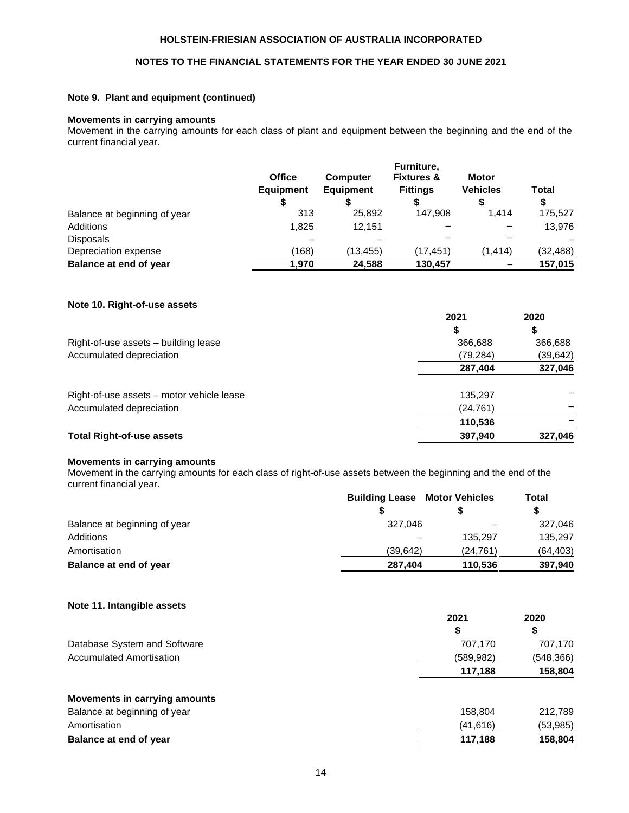### **NOTES TO THE FINANCIAL STATEMENTS FOR THE YEAR ENDED 30 JUNE 2021**

### **Note 9. Plant and equipment (continued)**

#### **Movements in carrying amounts**

Movement in the carrying amounts for each class of plant and equipment between the beginning and the end of the current financial year.

|                              | <b>Office</b><br><b>Equipment</b> | <b>Computer</b><br><b>Equipment</b> | Furniture,<br><b>Fixtures &amp;</b><br><b>Fittings</b> | <b>Motor</b><br><b>Vehicles</b> | Total<br>\$ |
|------------------------------|-----------------------------------|-------------------------------------|--------------------------------------------------------|---------------------------------|-------------|
| Balance at beginning of year | 313                               | 25.892                              | 147.908                                                | 1.414                           | 175,527     |
| Additions                    | 1.825                             | 12.151                              |                                                        |                                 | 13.976      |
| <b>Disposals</b>             |                                   |                                     |                                                        |                                 |             |
| Depreciation expense         | (168)                             | (13,455)                            | (17,451)                                               | (1, 414)                        | (32, 488)   |
| Balance at end of year       | 1,970                             | 24,588                              | 130,457                                                |                                 | 157,015     |

### **Note 10. Right-of-use assets**

|                                           | 2021      | 2020      |
|-------------------------------------------|-----------|-----------|
|                                           |           | \$        |
| Right-of-use assets - building lease      | 366,688   | 366,688   |
| Accumulated depreciation                  | (79,284)  | (39, 642) |
|                                           | 287,404   | 327,046   |
| Right-of-use assets – motor vehicle lease | 135,297   |           |
| Accumulated depreciation                  | (24, 761) |           |
|                                           | 110,536   |           |
| <b>Total Right-of-use assets</b>          | 397,940   | 327,046   |

### **Movements in carrying amounts**

Movement in the carrying amounts for each class of right-of-use assets between the beginning and the end of the current financial year.

|                              | <b>Building Lease</b> | <b>Motor Vehicles</b> | <b>Total</b> |
|------------------------------|-----------------------|-----------------------|--------------|
|                              |                       |                       |              |
| Balance at beginning of year | 327.046               |                       | 327,046      |
| Additions                    |                       | 135.297               | 135.297      |
| Amortisation                 | (39.642)              | (24.761)              | (64,403)     |
| Balance at end of year       | 287.404               | 110.536               | 397,940      |

**Note 11. Intangible assets**

|                                 | 2021      | 2020       |
|---------------------------------|-----------|------------|
|                                 | \$        | \$         |
| Database System and Software    | 707,170   | 707,170    |
| <b>Accumulated Amortisation</b> | (589,982) | (548, 366) |
|                                 | 117,188   | 158,804    |
| Movements in carrying amounts   |           |            |
| Balance at beginning of year    | 158,804   | 212,789    |
| Amortisation                    | (41,616)  | (53, 985)  |
| Balance at end of year          | 117,188   | 158,804    |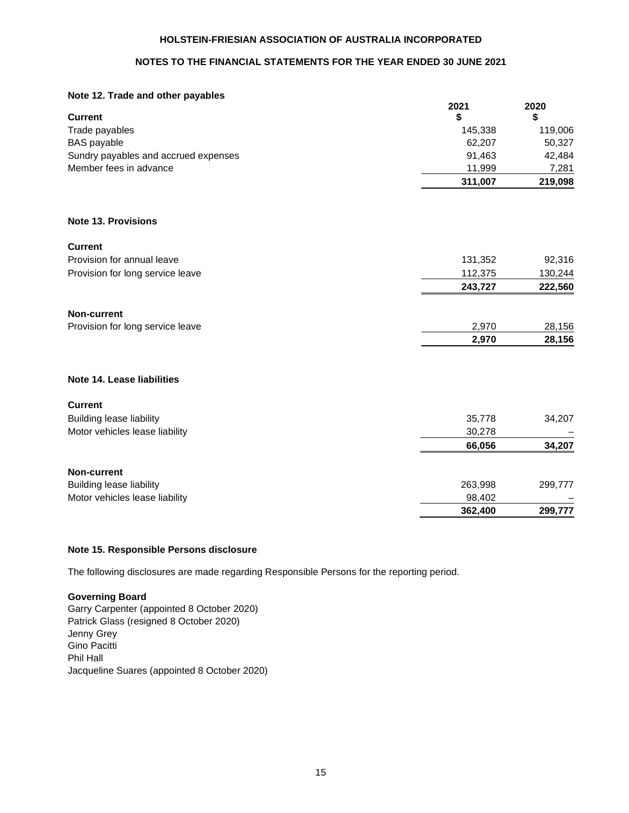### **NOTES TO THE FINANCIAL STATEMENTS FOR THE YEAR ENDED 30 JUNE 2021**

### **Note 12. Trade and other payables**

|                                      | 2021    | 2020    |
|--------------------------------------|---------|---------|
| <b>Current</b>                       | \$      | \$      |
| Trade payables                       | 145,338 | 119,006 |
| <b>BAS</b> payable                   | 62,207  | 50,327  |
| Sundry payables and accrued expenses | 91,463  | 42,484  |
| Member fees in advance               | 11,999  | 7,281   |
|                                      | 311,007 | 219,098 |
| <b>Note 13. Provisions</b>           |         |         |
| <b>Current</b>                       |         |         |
| Provision for annual leave           | 131,352 | 92,316  |
| Provision for long service leave     | 112,375 | 130,244 |
|                                      | 243,727 | 222,560 |
| <b>Non-current</b>                   |         |         |
| Provision for long service leave     | 2,970   | 28,156  |
|                                      | 2,970   | 28,156  |
| Note 14. Lease liabilities           |         |         |
| <b>Current</b>                       |         |         |
| <b>Building lease liability</b>      | 35,778  | 34,207  |
| Motor vehicles lease liability       | 30,278  |         |
|                                      | 66,056  | 34,207  |
| <b>Non-current</b>                   |         |         |
| <b>Building lease liability</b>      | 263,998 | 299,777 |
| Motor vehicles lease liability       | 98,402  |         |
|                                      | 362,400 | 299,777 |

### **Note 15. Responsible Persons disclosure**

The following disclosures are made regarding Responsible Persons for the reporting period.

### **Governing Board**

Garry Carpenter (appointed 8 October 2020) Patrick Glass (resigned 8 October 2020) Jenny Grey Gino Pacitti Phil Hall Jacqueline Suares (appointed 8 October 2020)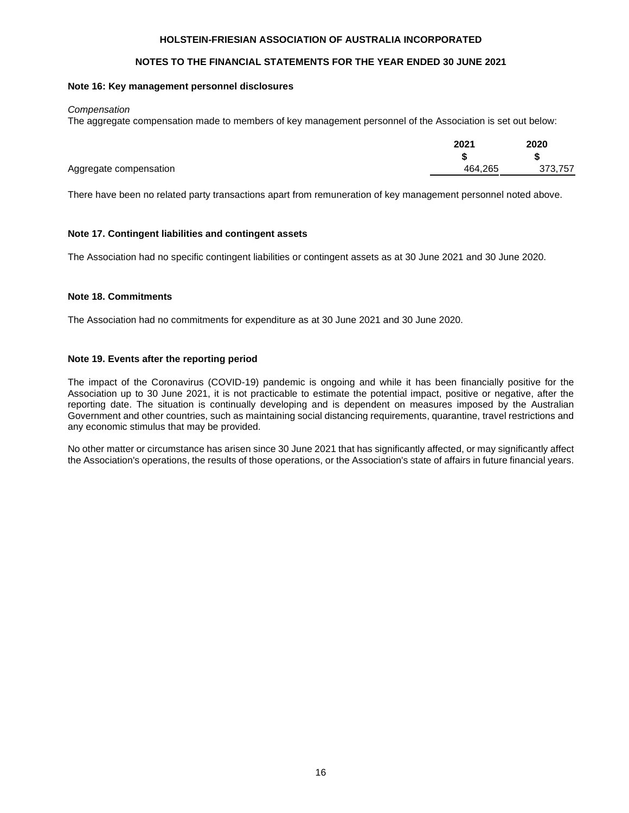### **NOTES TO THE FINANCIAL STATEMENTS FOR THE YEAR ENDED 30 JUNE 2021**

#### **Note 16: Key management personnel disclosures**

#### *Compensation*

The aggregate compensation made to members of key management personnel of the Association is set out below:

|                        | 2021    | 2020    |
|------------------------|---------|---------|
|                        |         | \$      |
| Aggregate compensation | 464.265 | 373,757 |
|                        |         |         |

There have been no related party transactions apart from remuneration of key management personnel noted above.

### **Note 17. Contingent liabilities and contingent assets**

The Association had no specific contingent liabilities or contingent assets as at 30 June 2021 and 30 June 2020.

### **Note 18. Commitments**

The Association had no commitments for expenditure as at 30 June 2021 and 30 June 2020.

### **Note 19. Events after the reporting period**

The impact of the Coronavirus (COVID-19) pandemic is ongoing and while it has been financially positive for the Association up to 30 June 2021, it is not practicable to estimate the potential impact, positive or negative, after the reporting date. The situation is continually developing and is dependent on measures imposed by the Australian Government and other countries, such as maintaining social distancing requirements, quarantine, travel restrictions and any economic stimulus that may be provided.

No other matter or circumstance has arisen since 30 June 2021 that has significantly affected, or may significantly affect the Association's operations, the results of those operations, or the Association's state of affairs in future financial years.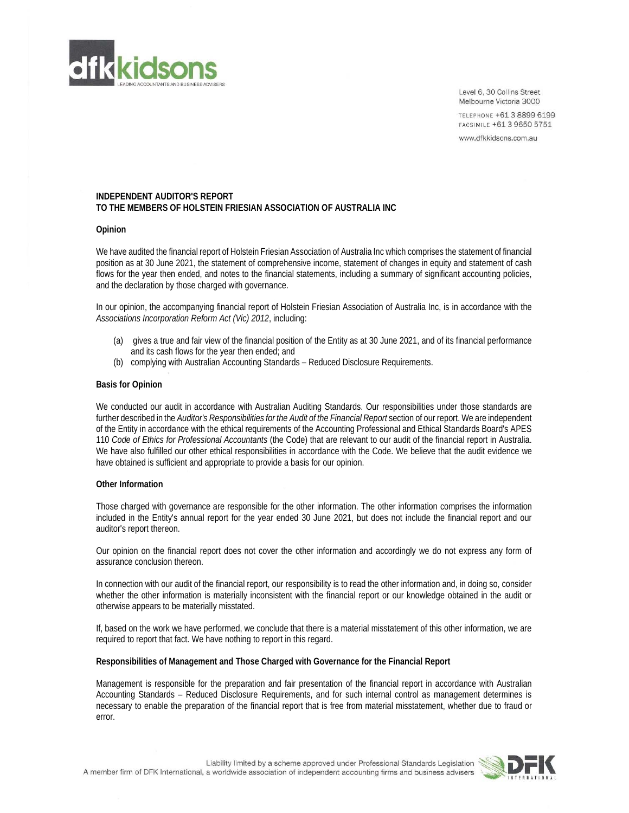

Level 6, 30 Collins Street Melbourne Victoria 3000

TELEPHONE +61 3 8899 6199 FACSIMILE +61 3 9650 5751

www.dfkkidsons.com.au

#### **INDEPENDENT AUDITOR'S REPORT TO THE MEMBERS OF HOLSTEIN FRIESIAN ASSOCIATION OF AUSTRALIA INC**

#### **Opinion**

We have audited the financial report of Holstein Friesian Association of Australia Inc which comprises the statement of financial position as at 30 June 2021, the statement of comprehensive income, statement of changes in equity and statement of cash flows for the year then ended, and notes to the financial statements, including a summary of significant accounting policies, and the declaration by those charged with governance.

In our opinion, the accompanying financial report of Holstein Friesian Association of Australia Inc, is in accordance with the *Associations Incorporation Reform Act (Vic) 2012*, including:

- (a) gives a true and fair view of the financial position of the Entity as at 30 June 2021, and of its financial performance and its cash flows for the year then ended; and
- (b) complying with Australian Accounting Standards Reduced Disclosure Requirements.

#### **Basis for Opinion**

We conducted our audit in accordance with Australian Auditing Standards. Our responsibilities under those standards are further described in the *Auditor's Responsibilities for the Audit of the Financial Report* section of our report. We are independent of the Entity in accordance with the ethical requirements of the Accounting Professional and Ethical Standards Board's APES 110 *Code of Ethics for Professional Accountants* (the Code) that are relevant to our audit of the financial report in Australia. We have also fulfilled our other ethical responsibilities in accordance with the Code. We believe that the audit evidence we have obtained is sufficient and appropriate to provide a basis for our opinion.

#### **Other Information**

Those charged with governance are responsible for the other information. The other information comprises the information included in the Entity's annual report for the year ended 30 June 2021, but does not include the financial report and our auditor's report thereon.

Our opinion on the financial report does not cover the other information and accordingly we do not express any form of assurance conclusion thereon.

In connection with our audit of the financial report, our responsibility is to read the other information and, in doing so, consider whether the other information is materially inconsistent with the financial report or our knowledge obtained in the audit or otherwise appears to be materially misstated.

If, based on the work we have performed, we conclude that there is a material misstatement of this other information, we are required to report that fact. We have nothing to report in this regard.

#### **Responsibilities of Management and Those Charged with Governance for the Financial Report**

Management is responsible for the preparation and fair presentation of the financial report in accordance with Australian Accounting Standards – Reduced Disclosure Requirements, and for such internal control as management determines is necessary to enable the preparation of the financial report that is free from material misstatement, whether due to fraud or error.